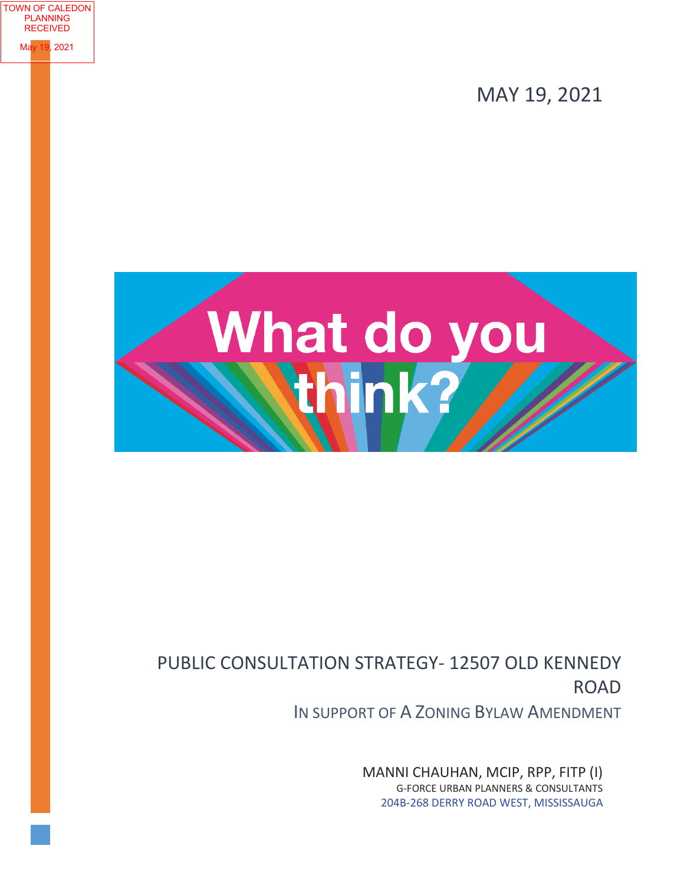MAY 19, 2021



TOWN OF CALEDON PLANNING RECEIVED

**2021** 

# PUBLIC CONSULTATION STRATEGY- 12507 OLD KENNEDY ROAD

IN SUPPORT OF A ZONING BYLAW AMENDMENT

MANNI CHAUHAN, MCIP, RPP, FITP (I) G-FORCE URBAN PLANNERS & CONSULTANTS 204B-268 DERRY ROAD WEST, MISSISSAUGA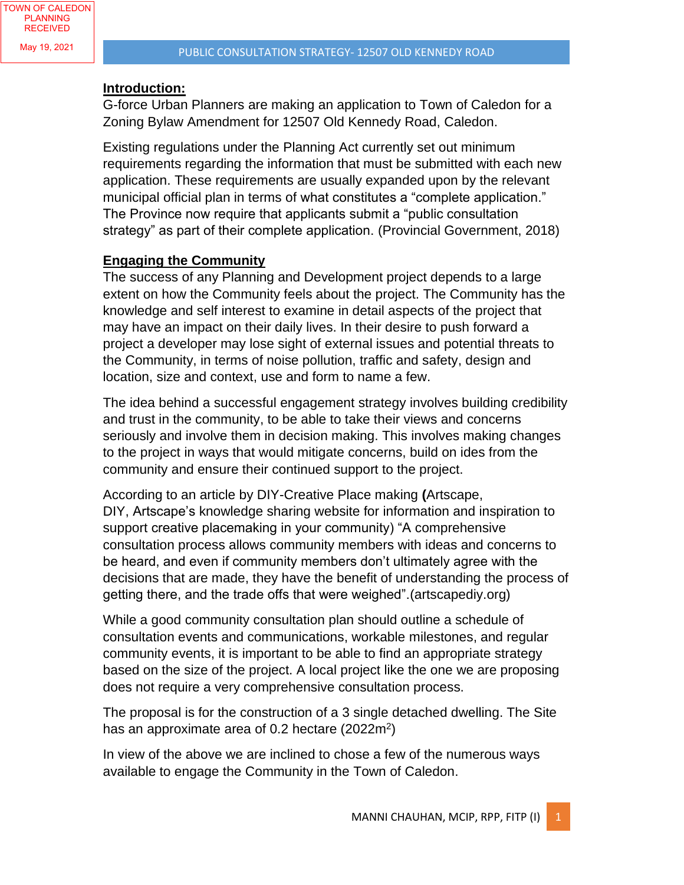#### **Introduction:**

G-force Urban Planners are making an application to Town of Caledon for a Zoning Bylaw Amendment for 12507 Old Kennedy Road, Caledon.

Existing regulations under the Planning Act currently set out minimum requirements regarding the information that must be submitted with each new application. These requirements are usually expanded upon by the relevant municipal official plan in terms of what constitutes a "complete application." The Province now require that applicants submit a "public consultation strategy" as part of their complete application. (Provincial Government, 2018)

### **Engaging the Community**

The success of any Planning and Development project depends to a large extent on how the Community feels about the project. The Community has the knowledge and self interest to examine in detail aspects of the project that may have an impact on their daily lives. In their desire to push forward a project a developer may lose sight of external issues and potential threats to the Community, in terms of noise pollution, traffic and safety, design and location, size and context, use and form to name a few.

The idea behind a successful engagement strategy involves building credibility and trust in the community, to be able to take their views and concerns seriously and involve them in decision making. This involves making changes to the project in ways that would mitigate concerns, build on ides from the community and ensure their continued support to the project.

According to an article by DIY-Creative Place making **(**Artscape, DIY, Artscape's knowledge sharing website for information and inspiration to support creative placemaking in your community) "A comprehensive consultation process allows community members with ideas and concerns to be heard, and even if community members don't ultimately agree with the decisions that are made, they have the benefit of understanding the process of getting there, and the trade offs that were weighed".(artscapediy.org)

While a good community consultation plan should outline a schedule of consultation events and communications, workable milestones, and regular community events, it is important to be able to find an appropriate strategy based on the size of the project. A local project like the one we are proposing does not require a very comprehensive consultation process.

The proposal is for the construction of a 3 single detached dwelling. The Site has an approximate area of 0.2 hectare (2022m<sup>2</sup>)

In view of the above we are inclined to chose a few of the numerous ways available to engage the Community in the Town of Caledon.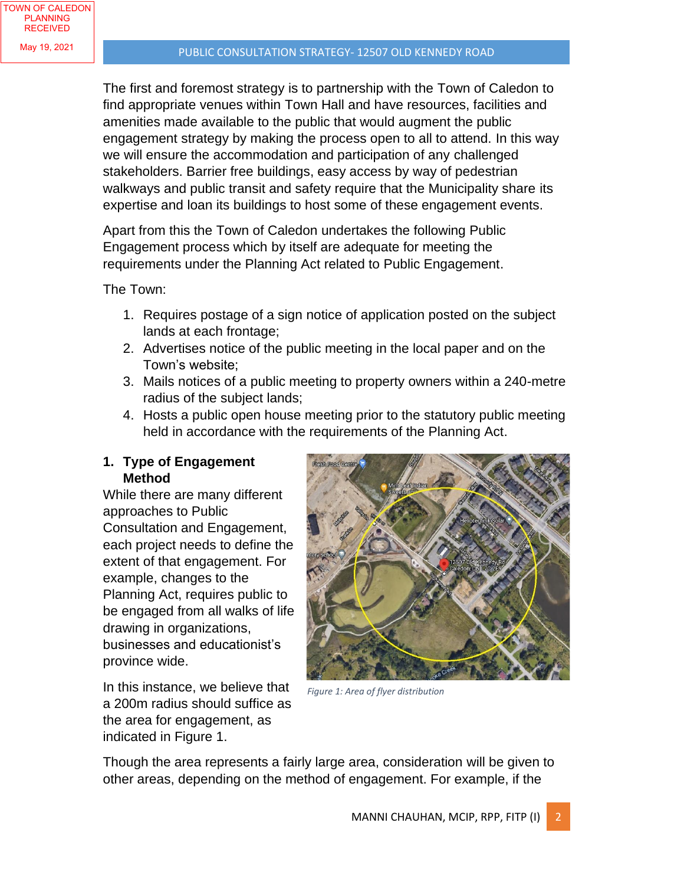The first and foremost strategy is to partnership with the Town of Caledon to find appropriate venues within Town Hall and have resources, facilities and amenities made available to the public that would augment the public engagement strategy by making the process open to all to attend. In this way we will ensure the accommodation and participation of any challenged stakeholders. Barrier free buildings, easy access by way of pedestrian walkways and public transit and safety require that the Municipality share its expertise and loan its buildings to host some of these engagement events.

Apart from this the Town of Caledon undertakes the following Public Engagement process which by itself are adequate for meeting the requirements under the Planning Act related to Public Engagement.

The Town:

- 1. Requires postage of a sign notice of application posted on the subject lands at each frontage;
- 2. Advertises notice of the public meeting in the local paper and on the Town's website;
- 3. Mails notices of a public meeting to property owners within a 240-metre radius of the subject lands;
- 4. Hosts a public open house meeting prior to the statutory public meeting held in accordance with the requirements of the Planning Act.

## **1. Type of Engagement Method**

While there are many different approaches to Public Consultation and Engagement, each project needs to define the extent of that engagement. For example, changes to the Planning Act, requires public to be engaged from all walks of life drawing in organizations, businesses and educationist's province wide.

In this instance, we believe that a 200m radius should suffice as the area for engagement, as indicated in Figure 1.



*Figure 1: Area of flyer distribution*

Though the area represents a fairly large area, consideration will be given to other areas, depending on the method of engagement. For example, if the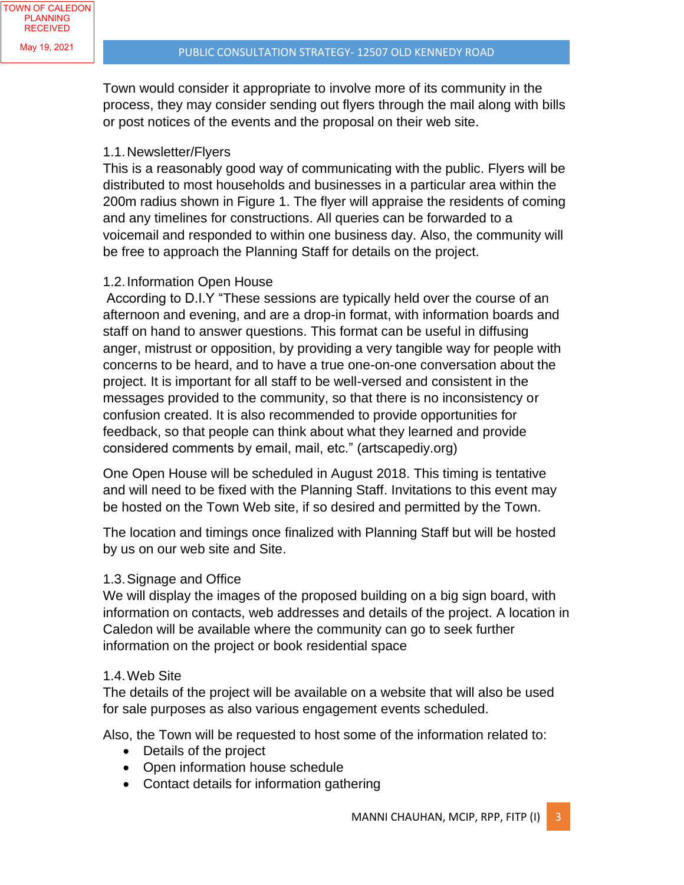Town would consider it appropriate to involve more of its community in the process, they may consider sending out flyers through the mail along with bills or post notices of the events and the proposal on their web site.

### 1.1.Newsletter/Flyers

This is a reasonably good way of communicating with the public. Flyers will be distributed to most households and businesses in a particular area within the 200m radius shown in Figure 1. The flyer will appraise the residents of coming and any timelines for constructions. All queries can be forwarded to a voicemail and responded to within one business day. Also, the community will be free to approach the Planning Staff for details on the project.

### 1.2.Information Open House

According to D.I.Y "These sessions are typically held over the course of an afternoon and evening, and are a drop-in format, with information boards and staff on hand to answer questions. This format can be useful in diffusing anger, mistrust or opposition, by providing a very tangible way for people with concerns to be heard, and to have a true one-on-one conversation about the project. It is important for all staff to be well-versed and consistent in the messages provided to the community, so that there is no inconsistency or confusion created. It is also recommended to provide opportunities for feedback, so that people can think about what they learned and provide considered comments by email, mail, etc." (artscapediy.org)

One Open House will be scheduled in August 2018. This timing is tentative and will need to be fixed with the Planning Staff. Invitations to this event may be hosted on the Town Web site, if so desired and permitted by the Town.

The location and timings once finalized with Planning Staff but will be hosted by us on our web site and Site.

#### 1.3.Signage and Office

We will display the images of the proposed building on a big sign board, with information on contacts, web addresses and details of the project. A location in Caledon will be available where the community can go to seek further information on the project or book residential space

#### 1.4.Web Site

The details of the project will be available on a website that will also be used for sale purposes as also various engagement events scheduled.

Also, the Town will be requested to host some of the information related to:

- Details of the project
- Open information house schedule
- Contact details for information gathering